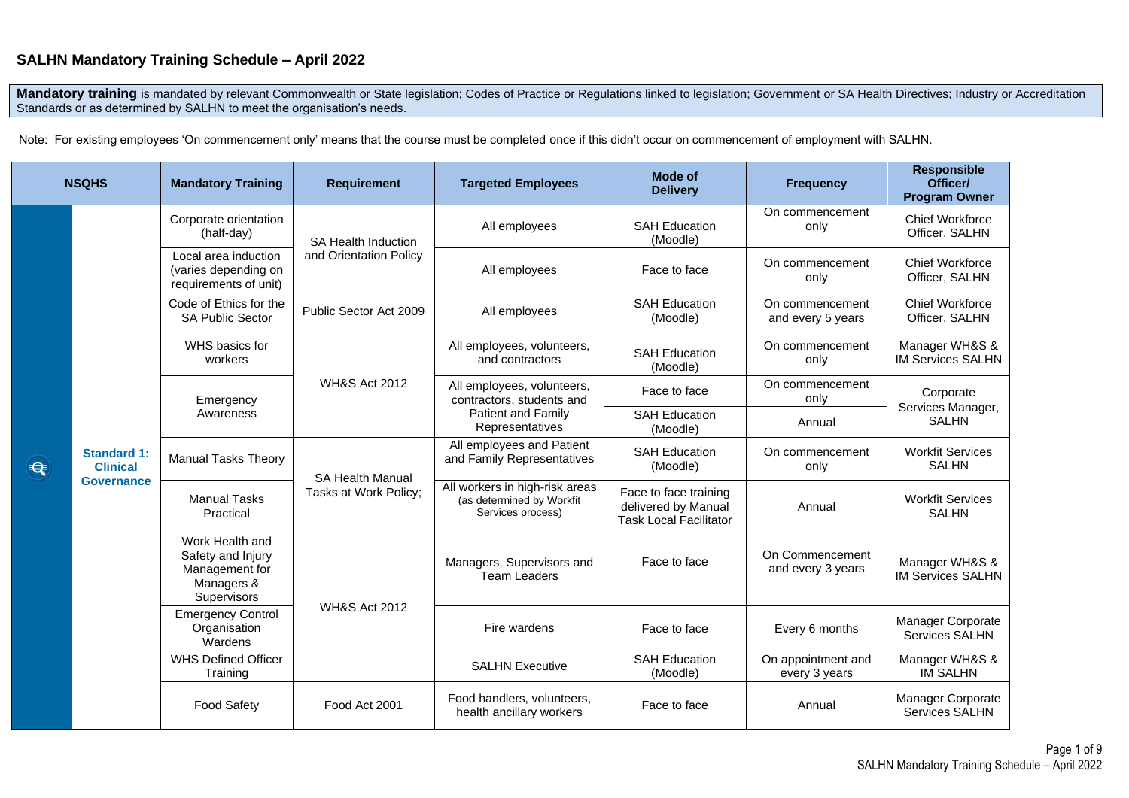# **SALHN Mandatory Training Schedule – April 2022**

Mandatory training is mandated by relevant Commonwealth or State legislation; Codes of Practice or Regulations linked to legislation; Government or SA Health Directives; Industry or Accreditation Standards or as determined by SALHN to meet the organisation's needs.

Note: For existing employees 'On commencement only' means that the course must be completed once if this didn't occur on commencement of employment with SALHN.

|   | <b>NSQHS</b>                                               | <b>Mandatory Training</b>                                                                  | <b>Requirement</b>                               | <b>Targeted Employees</b>                                                        | <b>Mode of</b><br><b>Delivery</b>                                             | <b>Frequency</b>                     | <b>Responsible</b><br>Officer/<br><b>Program Owner</b> |
|---|------------------------------------------------------------|--------------------------------------------------------------------------------------------|--------------------------------------------------|----------------------------------------------------------------------------------|-------------------------------------------------------------------------------|--------------------------------------|--------------------------------------------------------|
|   |                                                            | Corporate orientation<br>(half-day)                                                        | SA Health Induction<br>and Orientation Policy    | All employees                                                                    | <b>SAH Education</b><br>(Moodle)                                              | On commencement<br>only              | <b>Chief Workforce</b><br>Officer, SALHN               |
|   |                                                            | Local area induction<br>(varies depending on<br>requirements of unit)                      |                                                  | All employees                                                                    | Face to face                                                                  | On commencement<br>only              | <b>Chief Workforce</b><br>Officer, SALHN               |
|   |                                                            | Code of Ethics for the<br><b>SA Public Sector</b>                                          | Public Sector Act 2009                           | All employees                                                                    | <b>SAH Education</b><br>(Moodle)                                              | On commencement<br>and every 5 years | <b>Chief Workforce</b><br>Officer, SALHN               |
| € | <b>Standard 1:</b><br><b>Clinical</b><br><b>Governance</b> | WHS basics for<br>workers                                                                  | <b>WH&amp;S Act 2012</b>                         | All employees, volunteers,<br>and contractors                                    | <b>SAH Education</b><br>(Moodle)                                              | On commencement<br>only              | Manager WH&S &<br><b>IM Services SALHN</b>             |
|   |                                                            | Emergency                                                                                  |                                                  | All employees, volunteers,<br>contractors, students and                          | Face to face                                                                  | On commencement<br>only              | Corporate                                              |
|   |                                                            | Awareness                                                                                  |                                                  | Patient and Family<br>Representatives                                            | <b>SAH Education</b><br>(Moodle)                                              | Annual                               | Services Manager,<br><b>SALHN</b>                      |
|   |                                                            | <b>Manual Tasks Theory</b>                                                                 | <b>SA Health Manual</b><br>Tasks at Work Policy; | All employees and Patient<br>and Family Representatives                          | <b>SAH Education</b><br>(Moodle)                                              | On commencement<br>only              | <b>Workfit Services</b><br><b>SALHN</b>                |
|   |                                                            | <b>Manual Tasks</b><br>Practical                                                           |                                                  | All workers in high-risk areas<br>(as determined by Workfit<br>Services process) | Face to face training<br>delivered by Manual<br><b>Task Local Facilitator</b> | Annual                               | <b>Workfit Services</b><br><b>SALHN</b>                |
|   |                                                            | Work Health and<br>Safety and Injury<br>Management for<br>Managers &<br><b>Supervisors</b> | <b>WH&amp;S Act 2012</b>                         | Managers, Supervisors and<br><b>Team Leaders</b>                                 | Face to face                                                                  | On Commencement<br>and every 3 years | Manager WH&S &<br><b>IM Services SALHN</b>             |
|   |                                                            | <b>Emergency Control</b><br>Organisation<br>Wardens                                        |                                                  | Fire wardens                                                                     | Face to face                                                                  | Every 6 months                       | Manager Corporate<br>Services SALHN                    |
|   |                                                            | <b>WHS Defined Officer</b><br>Training                                                     |                                                  | <b>SALHN Executive</b>                                                           | <b>SAH Education</b><br>(Moodle)                                              | On appointment and<br>every 3 years  | Manager WH&S &<br><b>IM SALHN</b>                      |
|   |                                                            | <b>Food Safety</b>                                                                         | Food Act 2001                                    | Food handlers, volunteers,<br>health ancillary workers                           | Face to face                                                                  | Annual                               | Manager Corporate<br>Services SALHN                    |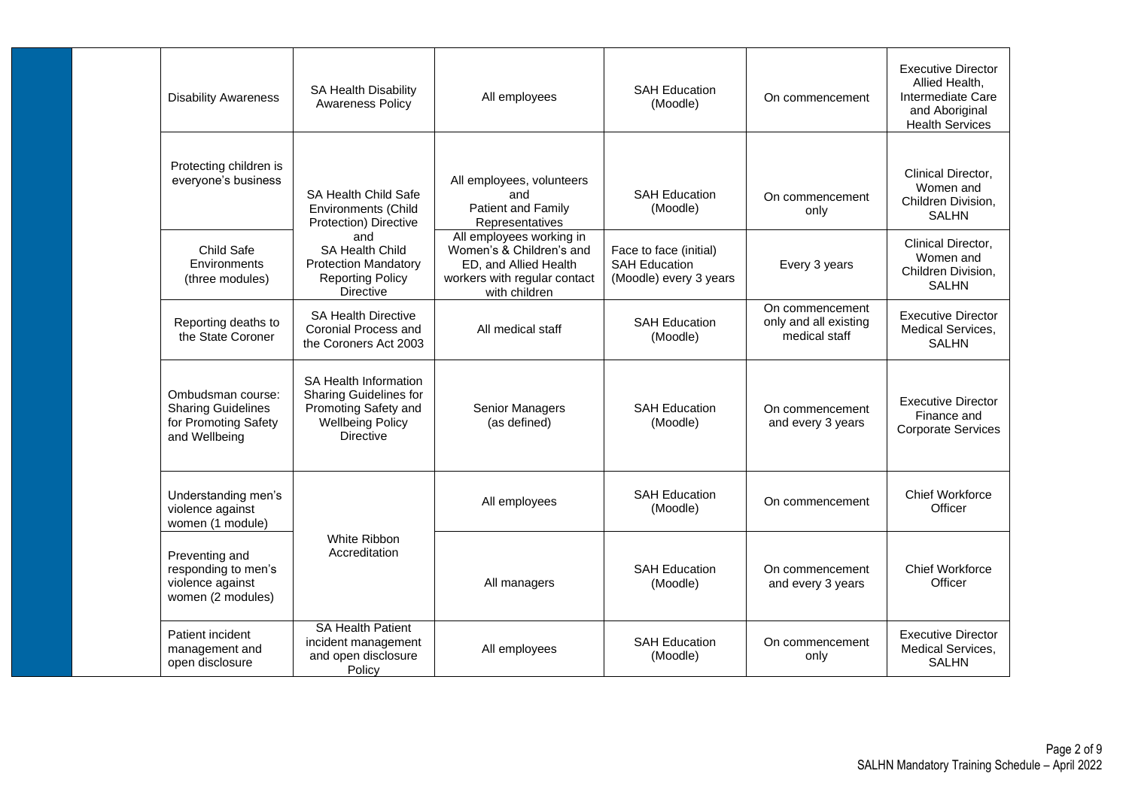| <b>Disability Awareness</b>                                                             | SA Health Disability<br><b>Awareness Policy</b>                                                                                      | All employees                                                                                                                  | <b>SAH Education</b><br>(Moodle)                                         | On commencement                                           | <b>Executive Director</b><br>Allied Health,<br>Intermediate Care<br>and Aboriginal<br><b>Health Services</b> |
|-----------------------------------------------------------------------------------------|--------------------------------------------------------------------------------------------------------------------------------------|--------------------------------------------------------------------------------------------------------------------------------|--------------------------------------------------------------------------|-----------------------------------------------------------|--------------------------------------------------------------------------------------------------------------|
| Protecting children is<br>everyone's business                                           | <b>SA Health Child Safe</b><br><b>Environments (Child</b><br>Protection) Directive                                                   | All employees, volunteers<br>and<br><b>Patient and Family</b><br>Representatives                                               | <b>SAH Education</b><br>(Moodle)                                         | On commencement<br>only                                   | Clinical Director.<br>Women and<br>Children Division,<br><b>SALHN</b>                                        |
| Child Safe<br>Environments<br>(three modules)                                           | and<br><b>SA Health Child</b><br><b>Protection Mandatory</b><br><b>Reporting Policy</b><br><b>Directive</b>                          | All employees working in<br>Women's & Children's and<br>ED, and Allied Health<br>workers with regular contact<br>with children | Face to face (initial)<br><b>SAH Education</b><br>(Moodle) every 3 years | Every 3 years                                             | Clinical Director,<br>Women and<br>Children Division,<br><b>SALHN</b>                                        |
| Reporting deaths to<br>the State Coroner                                                | <b>SA Health Directive</b><br>Coronial Process and<br>the Coroners Act 2003                                                          | All medical staff                                                                                                              | <b>SAH Education</b><br>(Moodle)                                         | On commencement<br>only and all existing<br>medical staff | <b>Executive Director</b><br><b>Medical Services.</b><br><b>SALHN</b>                                        |
| Ombudsman course:<br><b>Sharing Guidelines</b><br>for Promoting Safety<br>and Wellbeing | <b>SA Health Information</b><br><b>Sharing Guidelines for</b><br>Promoting Safety and<br><b>Wellbeing Policy</b><br><b>Directive</b> | Senior Managers<br>(as defined)                                                                                                | <b>SAH Education</b><br>(Moodle)                                         | On commencement<br>and every 3 years                      | <b>Executive Director</b><br>Finance and<br><b>Corporate Services</b>                                        |
| Understanding men's<br>violence against<br>women (1 module)                             |                                                                                                                                      | All employees                                                                                                                  | <b>SAH Education</b><br>(Moodle)                                         | On commencement                                           | <b>Chief Workforce</b><br>Officer                                                                            |
| Preventing and<br>responding to men's<br>violence against<br>women (2 modules)          | White Ribbon<br>Accreditation                                                                                                        | All managers                                                                                                                   | <b>SAH Education</b><br>(Moodle)                                         | On commencement<br>and every 3 years                      | <b>Chief Workforce</b><br>Officer                                                                            |
| Patient incident<br>management and<br>open disclosure                                   | <b>SA Health Patient</b><br>incident management<br>and open disclosure<br>Policy                                                     | All employees                                                                                                                  | <b>SAH Education</b><br>(Moodle)                                         | On commencement<br>only                                   | <b>Executive Director</b><br><b>Medical Services.</b><br><b>SALHN</b>                                        |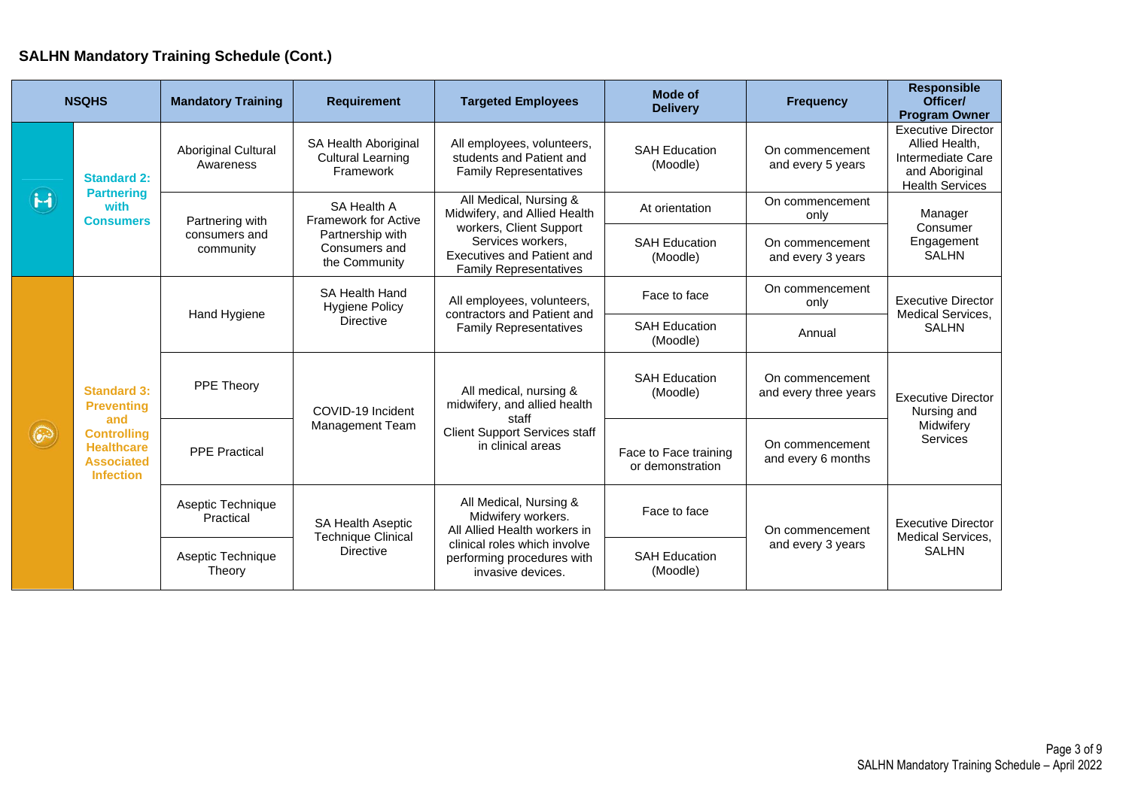# **SALHN Mandatory Training Schedule (Cont.)**

|              | <b>NSQHS</b>                                                                                                                       | <b>Mandatory Training</b>                                                        | <b>Requirement</b>                                                                                                 | <b>Targeted Employees</b>                                                                                                                                       | <b>Mode of</b><br><b>Delivery</b>         | <b>Frequency</b>                         | <b>Responsible</b><br>Officer/<br><b>Program Owner</b>                                                       |
|--------------|------------------------------------------------------------------------------------------------------------------------------------|----------------------------------------------------------------------------------|--------------------------------------------------------------------------------------------------------------------|-----------------------------------------------------------------------------------------------------------------------------------------------------------------|-------------------------------------------|------------------------------------------|--------------------------------------------------------------------------------------------------------------|
|              | <b>Standard 2:</b>                                                                                                                 | <b>Aboriginal Cultural</b><br>Awareness                                          | SA Health Aboriginal<br><b>Cultural Learning</b><br>Framework                                                      | All employees, volunteers,<br>students and Patient and<br><b>Family Representatives</b>                                                                         | <b>SAH Education</b><br>(Moodle)          | On commencement<br>and every 5 years     | <b>Executive Director</b><br>Allied Health.<br>Intermediate Care<br>and Aboriginal<br><b>Health Services</b> |
| $\mathbf{H}$ | <b>Partnering</b><br>with<br><b>Consumers</b>                                                                                      | Partnering with                                                                  | SA Health A<br><b>Framework for Active</b>                                                                         | All Medical, Nursing &<br>Midwifery, and Allied Health                                                                                                          | At orientation                            | On commencement<br>only                  | Manager                                                                                                      |
|              |                                                                                                                                    | Partnership with<br>consumers and<br>Consumers and<br>community<br>the Community | workers, Client Support<br>Services workers,<br><b>Executives and Patient and</b><br><b>Family Representatives</b> | <b>SAH Education</b><br>(Moodle)                                                                                                                                | On commencement<br>and every 3 years      | Consumer<br>Engagement<br><b>SALHN</b>   |                                                                                                              |
| $\odot$      | <b>Standard 3:</b><br><b>Preventing</b><br>and<br><b>Controlling</b><br><b>Healthcare</b><br><b>Associated</b><br><b>Infection</b> | SA Health Hand<br><b>Hygiene Policy</b><br>Hand Hygiene<br><b>Directive</b>      |                                                                                                                    | All employees, volunteers,<br>contractors and Patient and                                                                                                       | Face to face                              | On commencement<br>only                  | <b>Executive Director</b><br>Medical Services,                                                               |
|              |                                                                                                                                    |                                                                                  | <b>Family Representatives</b>                                                                                      | <b>SAH Education</b><br>(Moodle)                                                                                                                                | Annual                                    | <b>SALHN</b>                             |                                                                                                              |
|              |                                                                                                                                    | PPE Theory                                                                       | COVID-19 Incident<br>Management Team                                                                               | All medical, nursing &<br>midwifery, and allied health<br>staff<br><b>Client Support Services staff</b><br>in clinical areas                                    | <b>SAH Education</b><br>(Moodle)          | On commencement<br>and every three years | <b>Executive Director</b><br>Nursing and                                                                     |
|              |                                                                                                                                    | <b>PPE Practical</b>                                                             |                                                                                                                    |                                                                                                                                                                 | Face to Face training<br>or demonstration | On commencement<br>and every 6 months    | Midwifery<br>Services                                                                                        |
|              |                                                                                                                                    | Aseptic Technique<br>Practical                                                   | <b>SA Health Aseptic</b><br><b>Technique Clinical</b>                                                              | All Medical, Nursing &<br>Midwifery workers.<br>All Allied Health workers in<br>clinical roles which involve<br>performing procedures with<br>invasive devices. | Face to face                              | On commencement                          | <b>Executive Director</b>                                                                                    |
|              |                                                                                                                                    | Aseptic Technique<br>Theory                                                      | <b>Directive</b>                                                                                                   |                                                                                                                                                                 | <b>SAH Education</b><br>(Moodle)          | and every 3 years                        | Medical Services,<br><b>SALHN</b>                                                                            |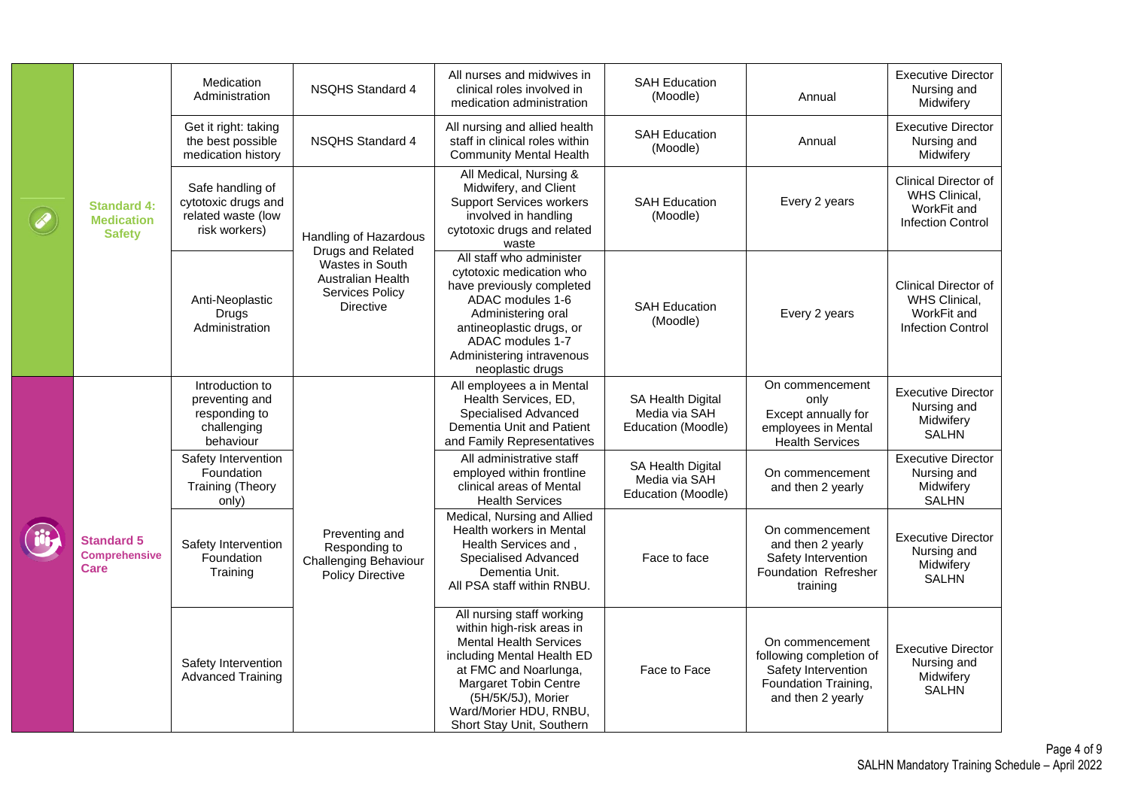|                                                          | Medication<br>Administration                                                   | <b>NSQHS Standard 4</b>                                                                                                                        | All nurses and midwives in<br>clinical roles involved in<br>medication administration                                                                                                                                                                | <b>SAH Education</b><br>(Moodle)                         | Annual                                                                                                         | <b>Executive Director</b><br>Nursing and<br>Midwifery                                   |
|----------------------------------------------------------|--------------------------------------------------------------------------------|------------------------------------------------------------------------------------------------------------------------------------------------|------------------------------------------------------------------------------------------------------------------------------------------------------------------------------------------------------------------------------------------------------|----------------------------------------------------------|----------------------------------------------------------------------------------------------------------------|-----------------------------------------------------------------------------------------|
| <b>Standard 4:</b><br><b>Medication</b><br><b>Safety</b> | Get it right: taking<br>the best possible<br>medication history                | <b>NSQHS Standard 4</b>                                                                                                                        | All nursing and allied health<br>staff in clinical roles within<br><b>Community Mental Health</b>                                                                                                                                                    | <b>SAH Education</b><br>(Moodle)                         | Annual                                                                                                         | <b>Executive Director</b><br>Nursing and<br>Midwifery                                   |
|                                                          | Safe handling of<br>cytotoxic drugs and<br>related waste (low<br>risk workers) | <b>Handling of Hazardous</b><br>Drugs and Related<br><b>Wastes in South</b><br><b>Australian Health</b><br>Services Policy<br><b>Directive</b> | All Medical, Nursing &<br>Midwifery, and Client<br><b>Support Services workers</b><br>involved in handling<br>cytotoxic drugs and related<br>waste                                                                                                   | <b>SAH Education</b><br>(Moodle)                         | Every 2 years                                                                                                  | Clinical Director of<br>WHS Clinical,<br>WorkFit and<br><b>Infection Control</b>        |
|                                                          | Anti-Neoplastic<br>Drugs<br>Administration                                     |                                                                                                                                                | All staff who administer<br>cytotoxic medication who<br>have previously completed<br>ADAC modules 1-6<br>Administering oral<br>antineoplastic drugs, or<br>ADAC modules 1-7<br>Administering intravenous<br>neoplastic drugs                         | <b>SAH Education</b><br>(Moodle)                         | Every 2 years                                                                                                  | <b>Clinical Director of</b><br>WHS Clinical,<br>WorkFit and<br><b>Infection Control</b> |
| <b>Standard 5</b><br><b>Comprehensive</b><br><b>Care</b> | Introduction to<br>preventing and<br>responding to<br>challenging<br>behaviour | Preventing and<br>Responding to<br><b>Challenging Behaviour</b><br><b>Policy Directive</b>                                                     | All employees a in Mental<br>Health Services, ED,<br>Specialised Advanced<br>Dementia Unit and Patient<br>and Family Representatives                                                                                                                 | SA Health Digital<br>Media via SAH<br>Education (Moodle) | On commencement<br>only<br>Except annually for<br>employees in Mental<br><b>Health Services</b>                | <b>Executive Director</b><br>Nursing and<br>Midwifery<br><b>SALHN</b>                   |
|                                                          | Safety Intervention<br>Foundation<br><b>Training (Theory</b><br>only)          |                                                                                                                                                | All administrative staff<br>employed within frontline<br>clinical areas of Mental<br><b>Health Services</b>                                                                                                                                          | SA Health Digital<br>Media via SAH<br>Education (Moodle) | On commencement<br>and then 2 yearly                                                                           | <b>Executive Director</b><br>Nursing and<br>Midwifery<br><b>SALHN</b>                   |
|                                                          | Safety Intervention<br>Foundation<br>Training                                  |                                                                                                                                                | Medical, Nursing and Allied<br>Health workers in Mental<br>Health Services and,<br>Specialised Advanced<br>Dementia Unit.<br>All PSA staff within RNBU.                                                                                              | Face to face                                             | On commencement<br>and then 2 yearly<br>Safety Intervention<br>Foundation Refresher<br>training                | <b>Executive Director</b><br>Nursing and<br>Midwifery<br><b>SALHN</b>                   |
|                                                          | Safety Intervention<br><b>Advanced Training</b>                                |                                                                                                                                                | All nursing staff working<br>within high-risk areas in<br><b>Mental Health Services</b><br>including Mental Health ED<br>at FMC and Noarlunga,<br>Margaret Tobin Centre<br>(5H/5K/5J), Morier<br>Ward/Morier HDU, RNBU,<br>Short Stay Unit, Southern | Face to Face                                             | On commencement<br>following completion of<br>Safety Intervention<br>Foundation Training,<br>and then 2 yearly | <b>Executive Director</b><br>Nursing and<br>Midwifery<br><b>SALHN</b>                   |

F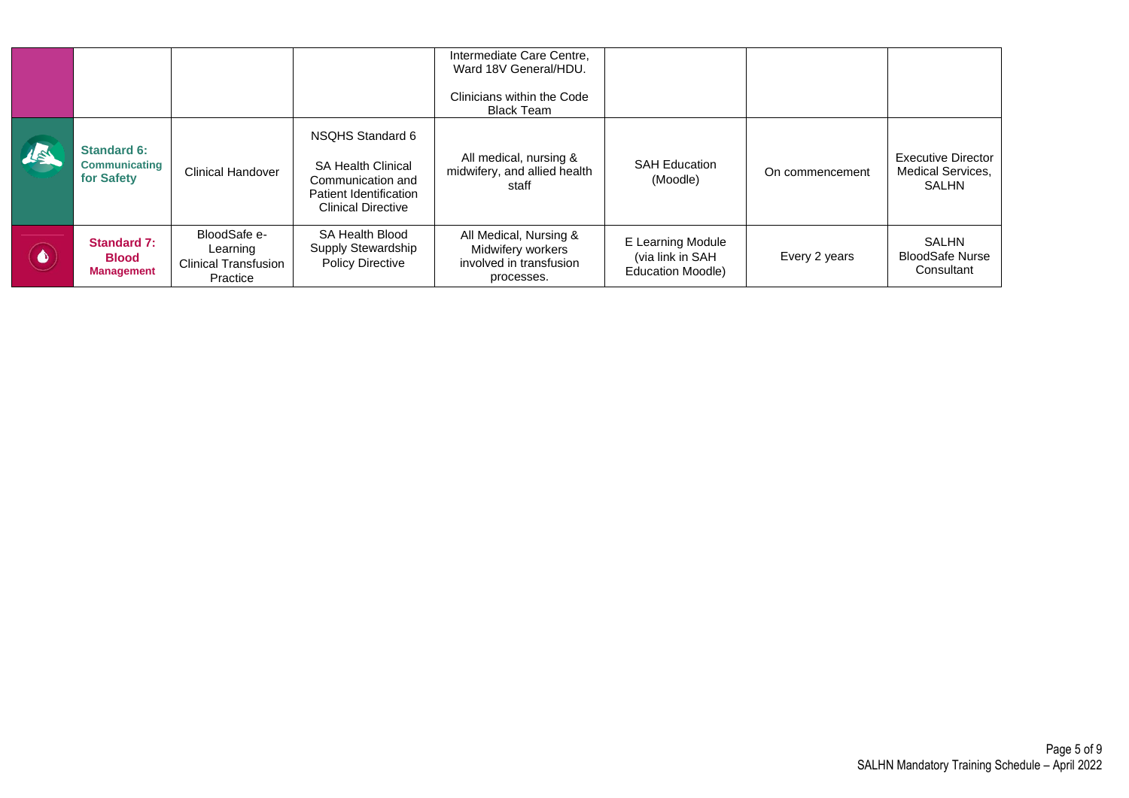|           |                                                          |                                                                     |                                                                                                                           | Intermediate Care Centre,<br>Ward 18V General/HDU.<br>Clinicians within the Code<br><b>Black Team</b> |                                                                   |                 |                                                                       |
|-----------|----------------------------------------------------------|---------------------------------------------------------------------|---------------------------------------------------------------------------------------------------------------------------|-------------------------------------------------------------------------------------------------------|-------------------------------------------------------------------|-----------------|-----------------------------------------------------------------------|
| 15        | <b>Standard 6:</b><br><b>Communicating</b><br>for Safety | <b>Clinical Handover</b>                                            | NSQHS Standard 6<br><b>SA Health Clinical</b><br>Communication and<br>Patient Identification<br><b>Clinical Directive</b> | All medical, nursing &<br>midwifery, and allied health<br>staff                                       | <b>SAH Education</b><br>(Moodle)                                  | On commencement | <b>Executive Director</b><br><b>Medical Services.</b><br><b>SALHN</b> |
| $\bullet$ | <b>Standard 7:</b><br><b>Blood</b><br><b>Management</b>  | BloodSafe e-<br>Learning<br><b>Clinical Transfusion</b><br>Practice | SA Health Blood<br>Supply Stewardship<br><b>Policy Directive</b>                                                          | All Medical, Nursing &<br>Midwifery workers<br>involved in transfusion<br>processes.                  | E Learning Module<br>(via link in SAH<br><b>Education Moodle)</b> | Every 2 years   | SALHN<br><b>BloodSafe Nurse</b><br>Consultant                         |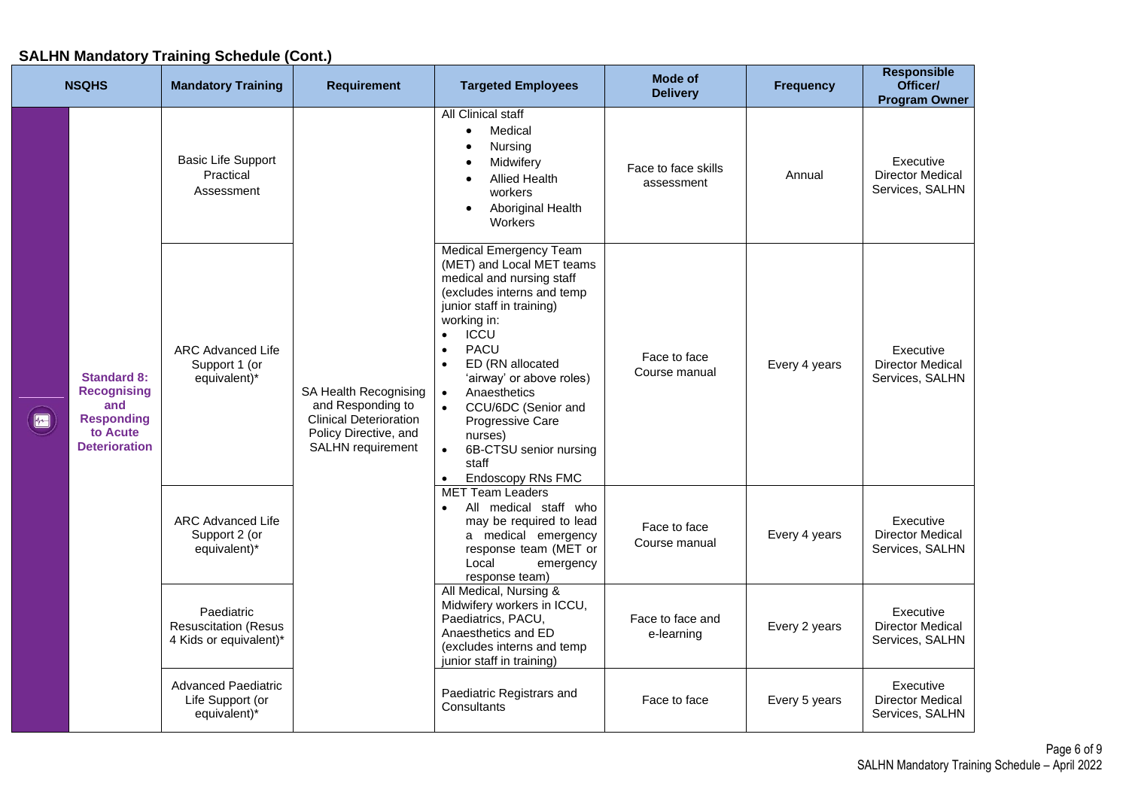#### **Responsible NSQHS Mandatory Training Requirement Targeted Employees Mode of Requirement Targeted Employees Requirement Frequency Officer/ Program Owner All Clinical staff** • Medical • Nursing Basic Life Support Executive **Midwiferv** Face to face skills Practical Director Medical ce to race skills<br>assessment [155] Annual • Allied Health Services, SALHN Assessment workers • Aboriginal Health **Workers** Medical Emergency Team (MET) and Local MET teams medical and nursing staff (excludes interns and temp junior staff in training) working in: • ICCU • PACU ARC Advanced Life Executive Face to face • ED (RN allocated Support 1 (or Every 4 years Director Medical Course manual **Standard 8:**  equivalent)\* 'airway' or above roles) Services, SALHN **Recognising**  SA Health Recognising • Anaesthetics **and**  and Responding to • CCU/6DC (Senior and  $\sqrt{2}$ **Responding**  Clinical Deterioration Progressive Care **to Acute**  Policy Directive, and nurses) **Deterioration** SALHN requirement • 6B-CTSU senior nursing staff • Endoscopy RNs FMC MET Team Leaders • All medical staff who ARC Advanced Life may be required to lead Executive Face to face Support 2 (or a medical emergency Course manual Every 4 years Director Medical equivalent)\* response team (MET or Services, SALHN Local emergency response team) All Medical, Nursing & Midwifery workers in ICCU, Paediatric Executive Paediatrics, PACU, Face to face and Resuscitation (Resus Director Medical e-learning **Every 2 years** Anaesthetics and ED 4 Kids or equivalent)\* Services, SALHN (excludes interns and temp junior staff in training) Advanced Paediatric Executive Paediatric Registrars and Life Support (or Face to face **Every 5 years** Director Medical **Consultants** equivalent)\* Services, SALHN

### **SALHN Mandatory Training Schedule (Cont.)**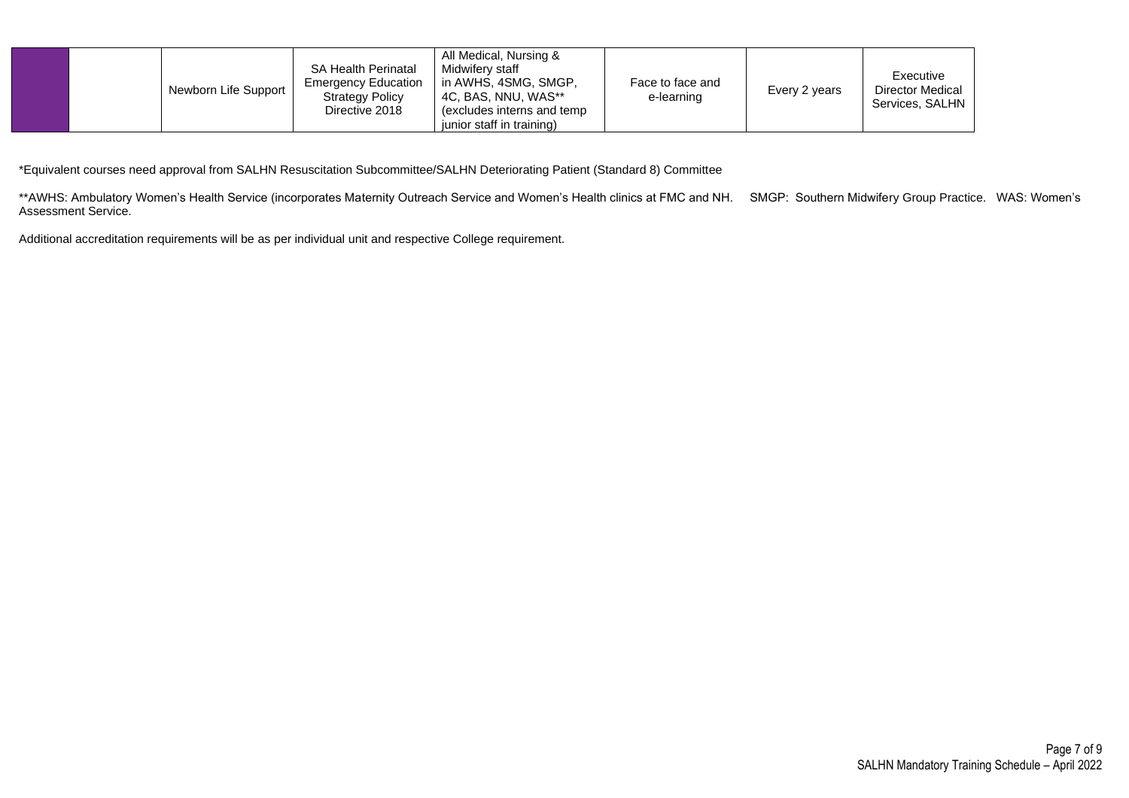| <b>SA Health Perinatal</b><br><b>Emergency Education</b><br>Newborn Life Support<br><b>Strategy Policy</b><br>Directive 2018 | All Medical, Nursing &<br>Midwifery staff<br>in AWHS, 4SMG, SMGP,<br>Face to face and<br>4C, BAS, NNU, WAS**<br>e-learning<br>(excludes interns and temp)<br>iunior staff in training) | Every 2 years | Executive<br><b>Director Medical</b><br>Services, SALHN |
|------------------------------------------------------------------------------------------------------------------------------|----------------------------------------------------------------------------------------------------------------------------------------------------------------------------------------|---------------|---------------------------------------------------------|
|------------------------------------------------------------------------------------------------------------------------------|----------------------------------------------------------------------------------------------------------------------------------------------------------------------------------------|---------------|---------------------------------------------------------|

\*Equivalent courses need approval from SALHN Resuscitation Subcommittee/SALHN Deteriorating Patient (Standard 8) Committee

\*\*AWHS: Ambulatory Women's Health Service (incorporates Maternity Outreach Service and Women's Health clinics at FMC and NH. SMGP: Southern Midwifery Group Practice. WAS: Women's Assessment Service.

Additional accreditation requirements will be as per individual unit and respective College requirement.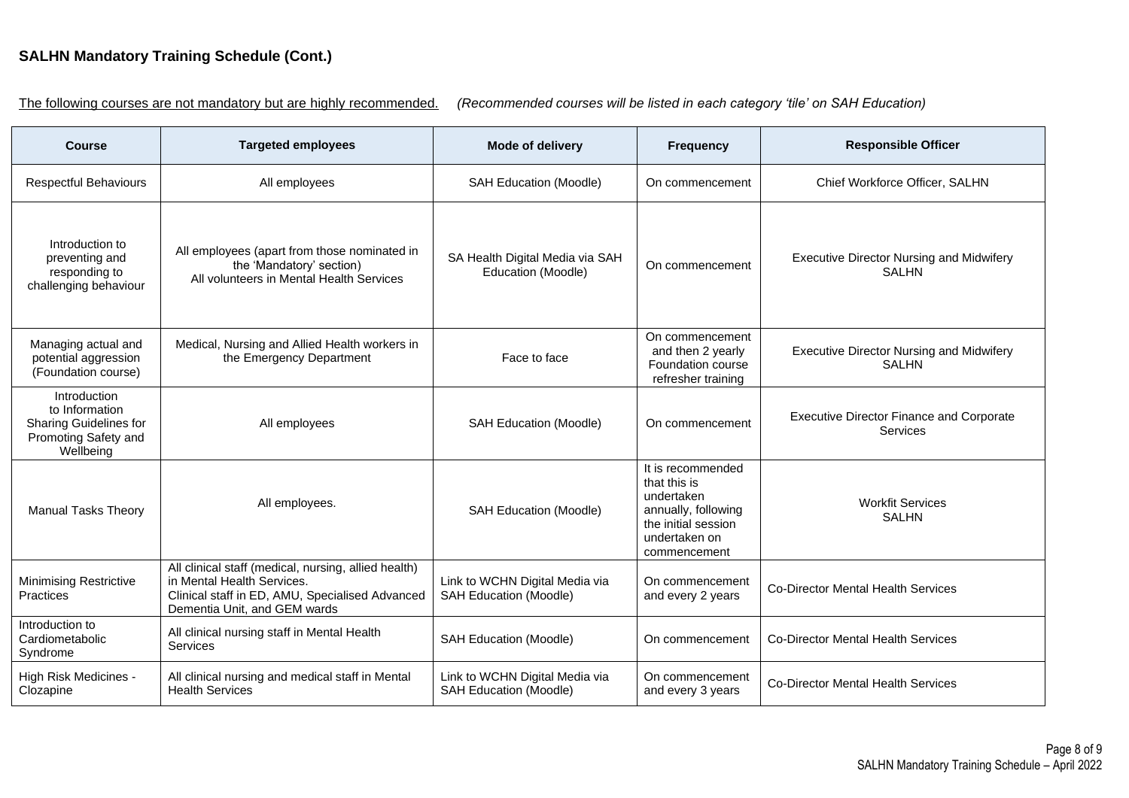# **SALHN Mandatory Training Schedule (Cont.)**

The following courses are not mandatory but are highly recommended. *(Recommended courses will be listed in each category 'tile' on SAH Education)*

| <b>Course</b>                                                                                        | <b>Targeted employees</b>                                                                                                                                             | Mode of delivery                                                | <b>Frequency</b>                                                                                                               | <b>Responsible Officer</b>                                      |
|------------------------------------------------------------------------------------------------------|-----------------------------------------------------------------------------------------------------------------------------------------------------------------------|-----------------------------------------------------------------|--------------------------------------------------------------------------------------------------------------------------------|-----------------------------------------------------------------|
| <b>Respectful Behaviours</b>                                                                         | All employees                                                                                                                                                         | <b>SAH Education (Moodle)</b>                                   | On commencement                                                                                                                | Chief Workforce Officer, SALHN                                  |
| Introduction to<br>preventing and<br>responding to<br>challenging behaviour                          | All employees (apart from those nominated in<br>the 'Mandatory' section)<br>All volunteers in Mental Health Services                                                  | SA Health Digital Media via SAH<br>Education (Moodle)           | On commencement                                                                                                                | <b>Executive Director Nursing and Midwifery</b><br><b>SALHN</b> |
| Managing actual and<br>potential aggression<br>(Foundation course)                                   | Medical, Nursing and Allied Health workers in<br>the Emergency Department                                                                                             | Face to face                                                    | On commencement<br>and then 2 yearly<br>Foundation course<br>refresher training                                                | <b>Executive Director Nursing and Midwifery</b><br><b>SALHN</b> |
| Introduction<br>to Information<br><b>Sharing Guidelines for</b><br>Promoting Safety and<br>Wellbeing | All employees                                                                                                                                                         | <b>SAH Education (Moodle)</b>                                   | On commencement                                                                                                                | <b>Executive Director Finance and Corporate</b><br>Services     |
| <b>Manual Tasks Theory</b>                                                                           | All employees.                                                                                                                                                        | <b>SAH Education (Moodle)</b>                                   | It is recommended<br>that this is<br>undertaken<br>annually, following<br>the initial session<br>undertaken on<br>commencement | <b>Workfit Services</b><br><b>SALHN</b>                         |
| <b>Minimising Restrictive</b><br>Practices                                                           | All clinical staff (medical, nursing, allied health)<br>in Mental Health Services.<br>Clinical staff in ED, AMU, Specialised Advanced<br>Dementia Unit, and GEM wards | Link to WCHN Digital Media via<br><b>SAH Education (Moodle)</b> | On commencement<br>and every 2 years                                                                                           | <b>Co-Director Mental Health Services</b>                       |
| Introduction to<br>Cardiometabolic<br>Syndrome                                                       | All clinical nursing staff in Mental Health<br><b>Services</b>                                                                                                        | <b>SAH Education (Moodle)</b>                                   | On commencement                                                                                                                | <b>Co-Director Mental Health Services</b>                       |
| High Risk Medicines -<br>Clozapine                                                                   | All clinical nursing and medical staff in Mental<br><b>Health Services</b>                                                                                            | Link to WCHN Digital Media via<br>SAH Education (Moodle)        | On commencement<br>and every 3 years                                                                                           | <b>Co-Director Mental Health Services</b>                       |